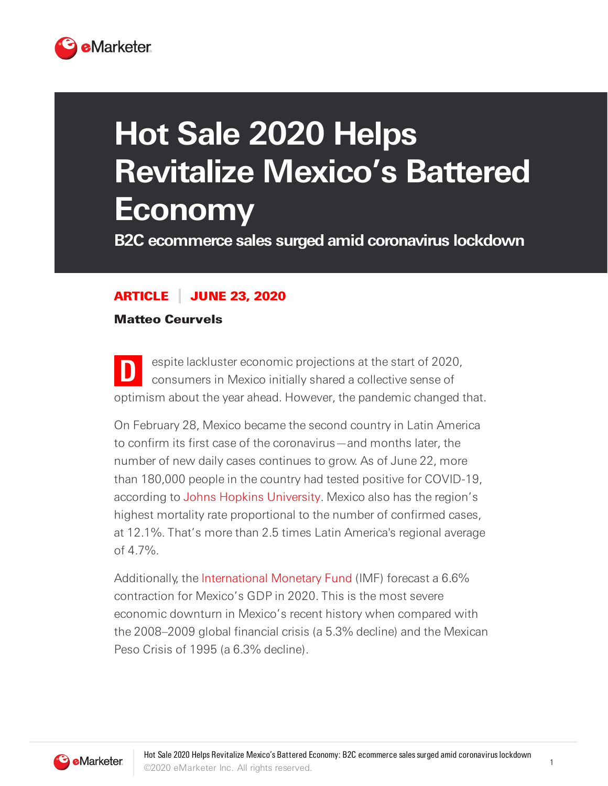

## **Hot Sale 2020 Helps Revitalize Mexico's Battered Economy**

**B2C ecommerce sales surged amid coronavirus lockdown**

## ARTICLE JUNE 23, 2020

Matteo Ceurvels

**D** espite lackluster economic projections at the start of 2020, consumers in Mexico initially shared a collective sense of optimism about the year ahead. However, the pandemic changed that.

On February 28, Mexico became the second country in Latin America to confirm its first case of the coronavirus—and months later, the number of new daily cases continues to grow. As of June 22, more than 180,000 people in the country had tested positive for COVID-19, according to Johns Hopkins [University.](https://systems.jhu.edu/) Mexico also has the region's highest mortality rate proportional to the number of confirmed cases, at 12.1%. That's more than 2.5 times Latin America's regional average of 4.7%.

Additionally, the [International](https://www.imf.org/external/index.htm) Monetary Fund (IMF) forecast a 6.6% contraction for Mexico's GDP in 2020. This is the most severe economic downturn in Mexico's recent history when compared with the 2008–2009 global financial crisis (a 5.3% decline) and the Mexican Peso Crisis of 1995 (a 6.3% decline).



1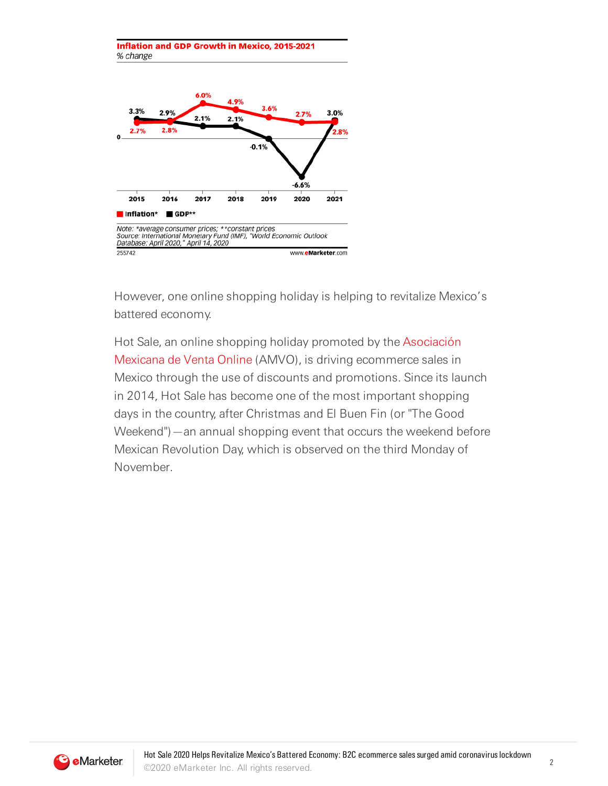



However, one online shopping holiday is helping to revitalize Mexico's battered economy.

Hot Sale, an online shopping holiday promoted by the Asociación Mexicana de Venta Online (AMVO), is driving [ecommerce](http://amvo.org.mx/) sales in Mexico through the use of discounts and promotions. Since its launch in 2014, Hot Sale has become one of the most important shopping days in the country, after Christmas and El Buen Fin (or "The Good Weekend")—an annual shopping event that occurs the weekend before Mexican Revolution Day, which is observed on the third Monday of November.



2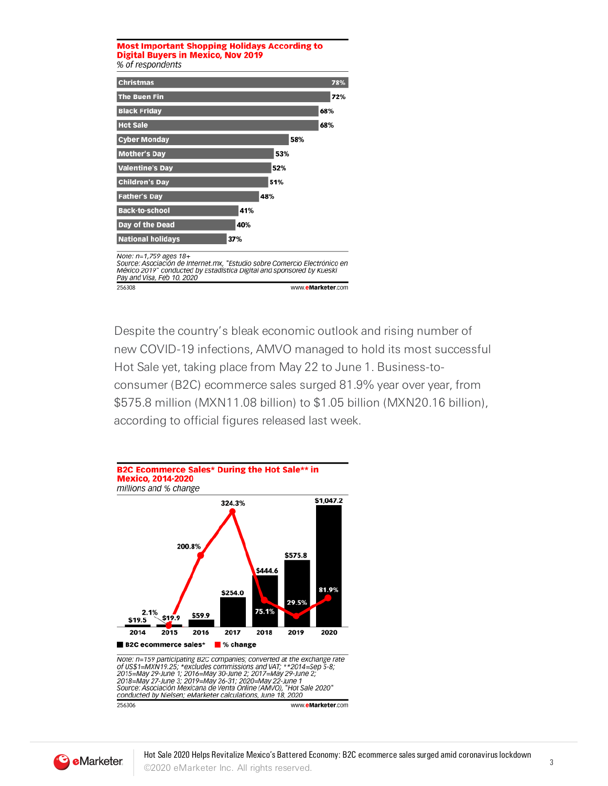

Despite the country's bleak economic outlook and rising number of new COVID-19 infections, AMVO managed to hold its most successful Hot Sale yet, taking place from May 22 to June 1. Business-toconsumer (B2C) ecommerce sales surged 81.9% year over year, from \$575.8 million (MXN11.08 billion) to \$1.05 billion (MXN20.16 billion), according to official figures released last week.



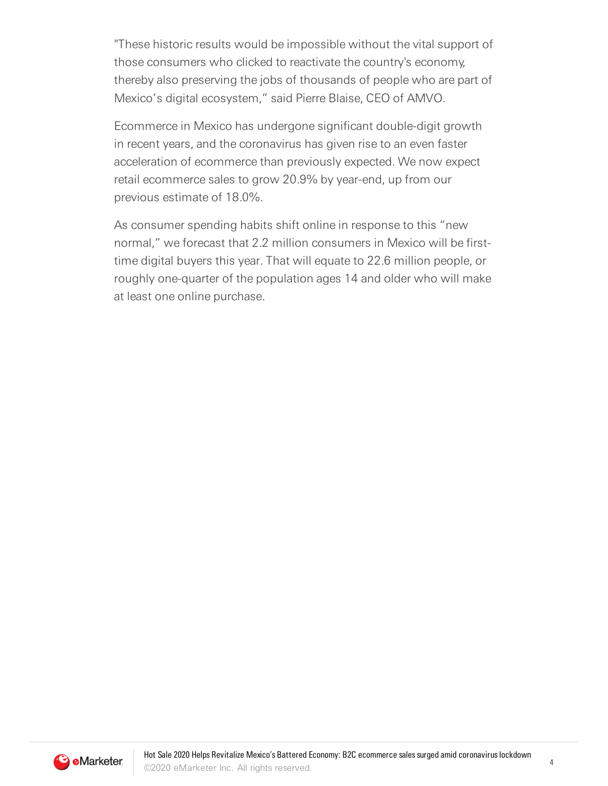"These historic results would be impossible without the vital support of those consumers who clicked to reactivate the country's economy, thereby also preserving the jobs of thousands of people who are part of Mexico's digital ecosystem," said Pierre Blaise, CEO of AMVO.

Ecommerce in Mexico has undergone significant double-digit growth in recent years, and the coronavirus has given rise to an even faster acceleration of ecommerce than previously expected. We now expect retail ecommerce sales to grow 20.9% by year-end, up from our previous estimate of 18.0%.

As consumer spending habits shift online in response to this "new normal," we forecast that 2.2 million consumers in Mexico will be firsttime digital buyers this year. That will equate to 22.6 million people, or roughly one-quarter of the population ages 14 and older who will make at least one online purchase.

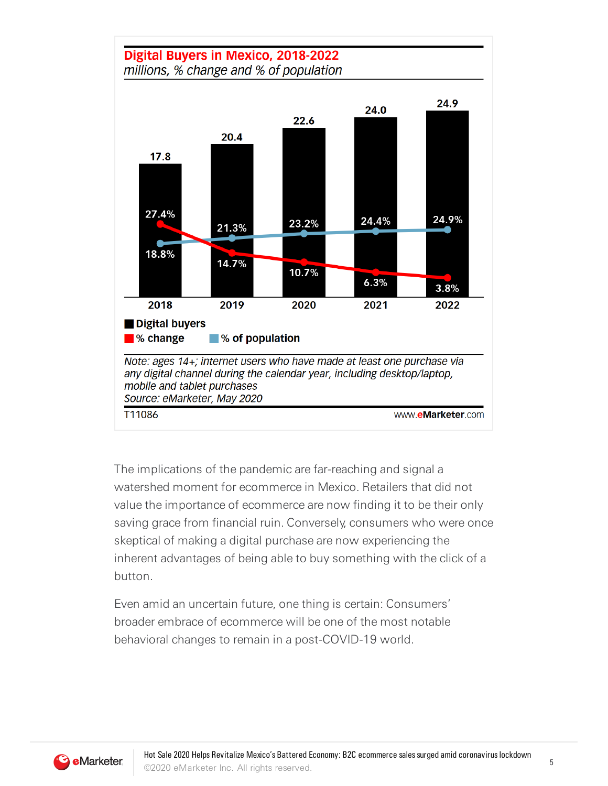

The implications of the pandemic are far-reaching and signal a watershed moment for ecommerce in Mexico. Retailers that did not value the importance of ecommerce are now finding it to be their only saving grace from financial ruin. Conversely, consumers who were once skeptical of making a digital purchase are now experiencing the inherent advantages of being able to buy something with the click of a button.

Even amid an uncertain future, one thing is certain: Consumers' broader embrace of ecommerce will be one of the most notable behavioral changes to remain in a post-COVID-19 world.

5